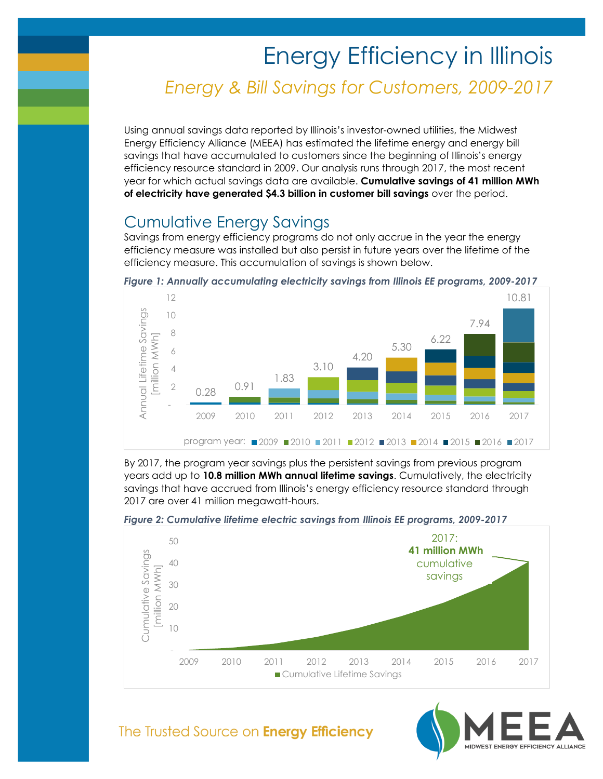# Energy Efficiency in Illinois *Energy & Bill Savings for Customers, 2009-2017*

Using annual savings data reported by Illinois's investor-owned utilities, the Midwest Energy Efficiency Alliance (MEEA) has estimated the lifetime energy and energy bill savings that have accumulated to customers since the beginning of Illinois's energy efficiency resource standard in 2009. Our analysis runs through 2017, the most recent year for which actual savings data are available. **Cumulative savings of 41 million MWh of electricity have generated \$4.3 billion in customer bill savings** over the period.

## Cumulative Energy Savings

Savings from energy efficiency programs do not only accrue in the year the energy efficiency measure was installed but also persist in future years over the lifetime of the efficiency measure. This accumulation of savings is shown below.



2009 2010 2011 2012 2013 2014 2015 2016 2017

program year:  $\sqrt{2009}$   $\sqrt{2010}$   $\sqrt{2012}$   $\sqrt{2013}$   $\sqrt{2014}$   $\sqrt{2015}$   $\sqrt{2016}$   $\sqrt{2017}$ 

*Figure 1: Annually accumulating electricity savings from Illinois EE programs, 2009-2017*

By 2017, the program year savings plus the persistent savings from previous program years add up to **10.8 million MWh annual lifetime savings**. Cumulatively, the electricity savings that have accrued from Illinois's energy efficiency resource standard through 2017 are over 41 million megawatt-hours.







### The Trusted Source on Energy Efficiency